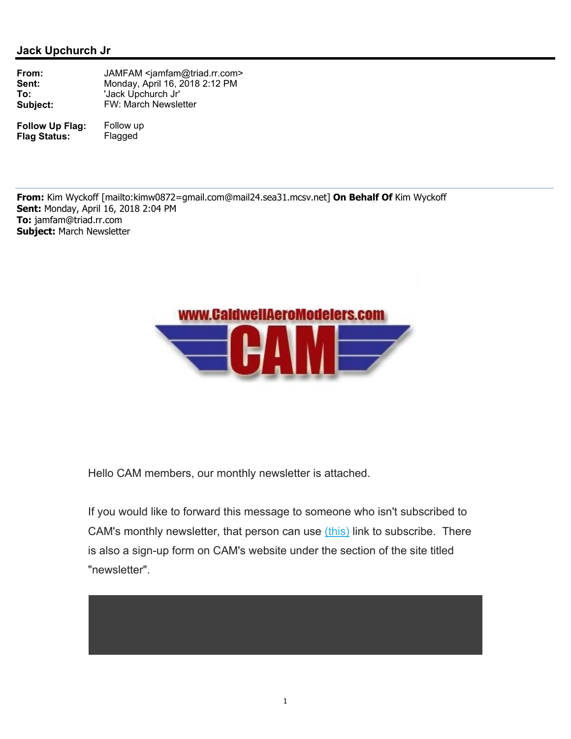

Hello CAM members, our monthly newsletter is attached.

If you would like to forward this message to someone who isn't subscribed to CAM's monthly newsletter, that person can use *(this)* link to subscribe. There is also a sign-up form on CAM's website under the section of the site titled "newsletter".

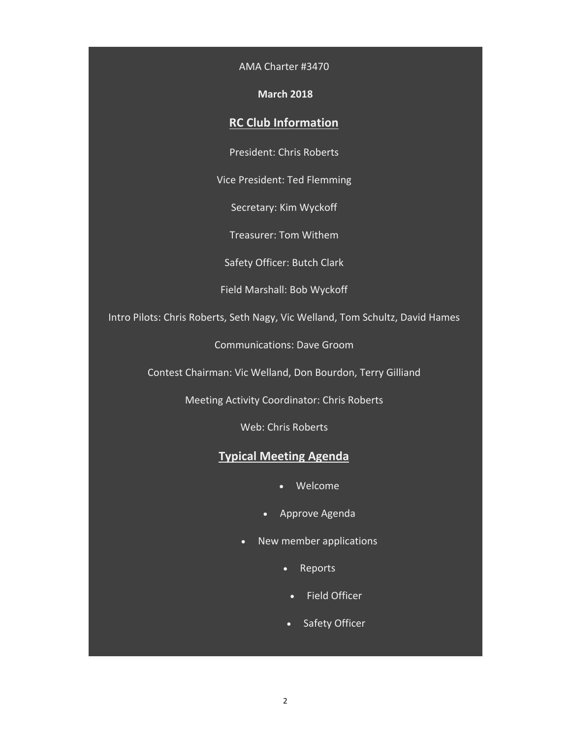AMA Charter #3470

## **March 2018**

## **RC Club Information**

President: Chris Roberts

Vice President: Ted Flemming

Secretary: Kim Wyckoff

Treasurer: Tom Withem

Safety Officer: Butch Clark

Field Marshall: Bob Wyckoff

Intro Pilots: Chris Roberts, Seth Nagy, Vic Welland, Tom Schultz, David Hames

Communications: Dave Groom

Contest Chairman: Vic Welland, Don Bourdon, Terry Gilliand

Meeting Activity Coordinator: Chris Roberts

Web: Chris Roberts

# **Typical Meeting Agenda**

- Welcome
- Approve Agenda
- New member applications
	- Reports
		- Field Officer
	- Safety Officer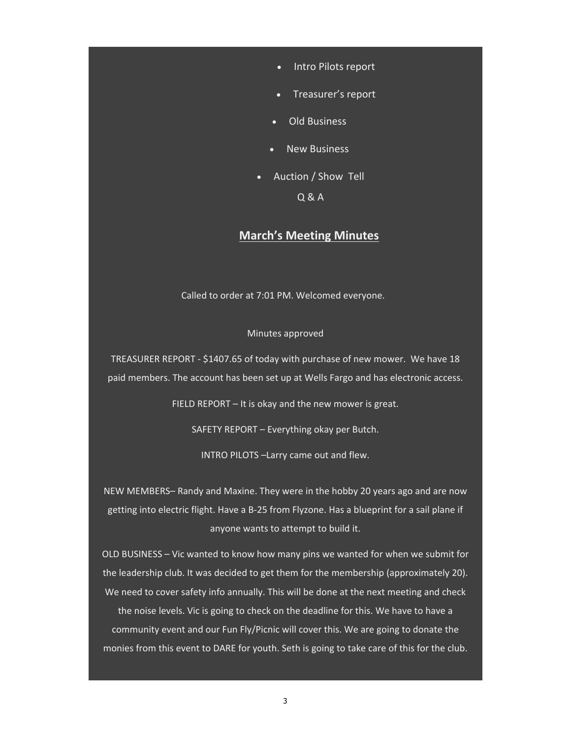- Intro Pilots report
- Treasurer's report
- Old Business
- New Business
- Auction / Show Tell Q & A

## **March's Meeting Minutes**

Called to order at 7:01 PM. Welcomed everyone.

#### Minutes approved

TREASURER REPORT ‐ \$1407.65 of today with purchase of new mower. We have 18 paid members. The account has been set up at Wells Fargo and has electronic access.

FIELD REPORT – It is okay and the new mower is great.

SAFETY REPORT – Everything okay per Butch.

INTRO PILOTS –Larry came out and flew.

NEW MEMBERS– Randy and Maxine. They were in the hobby 20 years ago and are now getting into electric flight. Have a B‐25 from Flyzone. Has a blueprint for a sail plane if anyone wants to attempt to build it.

OLD BUSINESS – Vic wanted to know how many pins we wanted for when we submit for the leadership club. It was decided to get them for the membership (approximately 20). We need to cover safety info annually. This will be done at the next meeting and check the noise levels. Vic is going to check on the deadline for this. We have to have a community event and our Fun Fly/Picnic will cover this. We are going to donate the monies from this event to DARE for youth. Seth is going to take care of this for the club.

3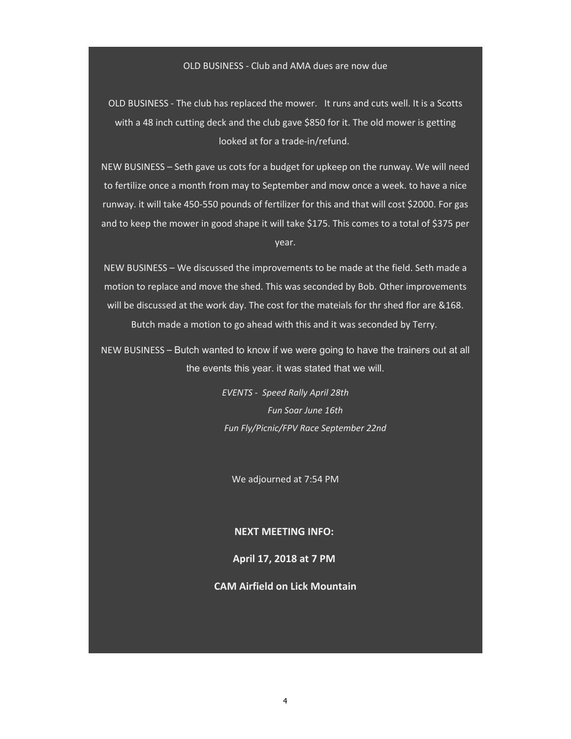## OLD BUSINESS ‐ Club and AMA dues are now due

OLD BUSINESS ‐ The club has replaced the mower. It runs and cuts well. It is a Scotts with a 48 inch cutting deck and the club gave \$850 for it. The old mower is getting looked at for a trade‐in/refund.

NEW BUSINESS – Seth gave us cots for a budget for upkeep on the runway. We will need to fertilize once a month from may to September and mow once a week. to have a nice runway. it will take 450‐550 pounds of fertilizer for this and that will cost \$2000. For gas and to keep the mower in good shape it will take \$175. This comes to a total of \$375 per year.

NEW BUSINESS – We discussed the improvements to be made at the field. Seth made a motion to replace and move the shed. This was seconded by Bob. Other improvements will be discussed at the work day. The cost for the mateials for thr shed flor are &168. Butch made a motion to go ahead with this and it was seconded by Terry.

NEW BUSINESS – Butch wanted to know if we were going to have the trainers out at all the events this year. it was stated that we will.

> *EVENTS ‐ Speed Rally April 28th Fun Soar June 16th Fun Fly/Picnic/FPV Race September 22nd*

We adjourned at 7:54 PM

### **NEXT MEETING INFO:**

### **April 17, 2018 at 7 PM**

## **CAM Airfield on Lick Mountain**